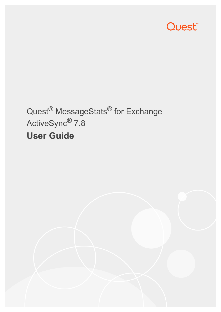

# Quest® MessageStats® for Exchange ActiveSync® 7.8 **User Guide**

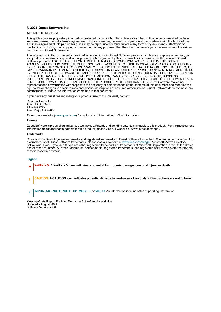#### **© 2021 Quest Software Inc.**

#### **ALL RIGHTS RESERVED.**

This guide contains proprietary information protected by copyright. The software described in this guide is furnished under a software license or nondisclosure agreement. This software may be used or copied only in accordance with the terms of the applicable agreement. No part of this guide may be reproduced or transmitted in any form or by any means, electronic or mechanical, including photocopying and recording for any purpose other than the purchaser's personal use without the written permission of Quest Software Inc.

The information in this document is provided in connection with Quest Software products. No license, express or implied, by estoppel or otherwise, to any intellectual property right is granted by this document or in connection with the sale of Quest<br>Software products. EXCEPT AS SET FORTH IN THE TERMS AND CONDITIONS AS SPECIFIED IN THE LICENSE<br>A EXPRESS, IMPLIED OR STATUTORY WARRANTY RELATING TO ITS PRODUCTS INCLUDING, BUT NOT LIMITED TO, THE IMPLIED WARRANTY OF MERCHANTABILITY, FITNESS FOR A PARTICULAR PURPOSE, OR NON-INFRINGEMENT. IN NO EVENT SHALL QUEST SOFTWARE BE LIABLE FOR ANY DIRECT, INDIRECT, CONSEQUENTIAL, PUNITIVE, SPECIAL OR INCIDENTAL DAMAGES (INCLUDING, WITHOUT LIMITATION, DAMAGES FOR LOSS OF PROFITS, BUSINESS<br>INTERRUPTION OR LOSS OF INFORMATION) ARISING OUT OF THE USE OR INABILITY TO USE THIS DOCUMENT, EVEN IF QUEST SOFTWARE HAS BEEN ADVISED OF THE POSSIBILITY OF SUCH DAMAGES. Quest Software makes no representations or warranties with respect to the accuracy or completeness of the contents of this document and reserves the right to make changes to specifications and product descriptions at any time without notice. Quest Software does not make any commitment to update the information contained in this document.

If you have any questions regarding your potential use of this material, contact:

Quest Software Inc. Attn: LEGAL Dept. 4 Polaris Way Aliso Viejo, CA 92656

Refer to our website [\(www.quest.com](http://www.quest.com)) for regional and international office information.

#### **Patents**

Quest Software is proud of our advanced technology. Patents and pending patents may apply to this product. For the most current information about applicable patents for this product, please visit our website at www.quest.com/legal.

#### **Trademarks**

Quest and the Quest logo are trademarks and registered trademarks of Quest Software Inc. in the U.S.A. and other countries. For a complete list of Quest Software trademarks, please visit our website at [www.quest.com/legal.](http://www.quest.com/legal) Microsoft, Active Directory, ActiveSync, Excel, Lync, and Skype are either registered trademarks or trademarks of Microsoft Corporation in the United States and/or other countries. All other trademarks, servicemarks, registered trademarks, and registered servicemarks are the property of their respective owners.

#### **Legend**

- **WARNING: A WARNING icon indicates a potential for property damage, personal injury, or death.**
- **CAUTION: A CAUTION icon indicates potential damage to hardware or loss of data if instructions are not followed.** Ţ
- **IMPORTANT NOTE**, **NOTE**, **TIP**, **MOBILE**, or **VIDEO:** An information icon indicates supporting information.i

MessageStats Report Pack for Exchange ActiveSync User Guide Updated - August 2021 Software Version - 7.8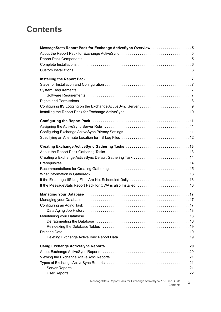### **Contents**

| MessageStats Report Pack for Exchange ActiveSync Overview 5                                                                                                                                                                    |   |  |
|--------------------------------------------------------------------------------------------------------------------------------------------------------------------------------------------------------------------------------|---|--|
|                                                                                                                                                                                                                                |   |  |
|                                                                                                                                                                                                                                |   |  |
|                                                                                                                                                                                                                                |   |  |
|                                                                                                                                                                                                                                |   |  |
| Installing the Report Pack (and according contained a contact the Report Pack of the Report Pack of the United States                                                                                                          |   |  |
|                                                                                                                                                                                                                                |   |  |
|                                                                                                                                                                                                                                |   |  |
|                                                                                                                                                                                                                                |   |  |
|                                                                                                                                                                                                                                |   |  |
|                                                                                                                                                                                                                                |   |  |
|                                                                                                                                                                                                                                |   |  |
|                                                                                                                                                                                                                                |   |  |
|                                                                                                                                                                                                                                |   |  |
| Assigning the ActiveSync Server Role (and the content of the content of the ActiveSync Server Role (and the content of the ActiveSync Server ActiveSync Server ActiveSync Server ActiveSync ActiveSync ActiveSync ActiveSync A |   |  |
|                                                                                                                                                                                                                                |   |  |
|                                                                                                                                                                                                                                |   |  |
|                                                                                                                                                                                                                                |   |  |
|                                                                                                                                                                                                                                |   |  |
|                                                                                                                                                                                                                                |   |  |
|                                                                                                                                                                                                                                |   |  |
|                                                                                                                                                                                                                                |   |  |
|                                                                                                                                                                                                                                |   |  |
|                                                                                                                                                                                                                                |   |  |
|                                                                                                                                                                                                                                |   |  |
| Managing Your Database (and all and according to the manufacture of the Managing Your Database (and according to the Managing Your Database                                                                                    |   |  |
|                                                                                                                                                                                                                                |   |  |
|                                                                                                                                                                                                                                |   |  |
|                                                                                                                                                                                                                                |   |  |
|                                                                                                                                                                                                                                |   |  |
|                                                                                                                                                                                                                                |   |  |
|                                                                                                                                                                                                                                |   |  |
|                                                                                                                                                                                                                                |   |  |
|                                                                                                                                                                                                                                |   |  |
|                                                                                                                                                                                                                                |   |  |
|                                                                                                                                                                                                                                |   |  |
|                                                                                                                                                                                                                                |   |  |
|                                                                                                                                                                                                                                |   |  |
|                                                                                                                                                                                                                                |   |  |
|                                                                                                                                                                                                                                |   |  |
|                                                                                                                                                                                                                                |   |  |
| MessageStats Report Pack for Exchange ActiveSync 7.8 User Guide<br>Contents                                                                                                                                                    | 3 |  |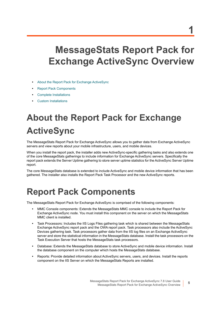# <span id="page-4-0"></span>**MessageStats Report Pack for Exchange ActiveSync Overview**

- **•** [About the Report Pack for Exchange ActiveSync](#page-4-1)
- **•** [Report Pack Components](#page-4-2)
- **•** [Complete Installations](#page-5-0)
- <span id="page-4-3"></span>**•** [Custom Installations](#page-5-1)

# <span id="page-4-1"></span>**About the Report Pack for Exchange ActiveSync**

The MessageStats Report Pack for Exchange ActiveSync allows you to gather data from Exchange ActiveSync servers and view reports about your mobile infrastructure, users, and mobile devices.

When you install the report pack, the installer adds new ActiveSync-specific gathering tasks and also extends one of the core MessageStats gatherings to include information for Exchange ActiveSync servers. Specifically the report pack extends the Server Uptime gathering to store server uptime statistics for the ActiveSync Server Uptime report.

The core MessageStats database is extended to include ActiveSync and mobile device information that has been gathered. The installer also installs the Report Pack Task Processor and the new ActiveSync reports.

## <span id="page-4-4"></span><span id="page-4-2"></span>**Report Pack Components**

The MessageStats Report Pack for Exchange ActiveSync is comprised of the following components:

- **•** MMC Console components: Extends the MessageStats MMC console to include the Report Pack for Exchange ActiveSync node. You must install this component on the server on which the MessageStats MMC client is installed.
- **•** Task Processors: Includes the IIS Logs Files gathering task which is shared between the MessageStats Exchange ActiveSync report pack and the OWA report pack. Task processors also include the ActiveSync Devices gathering task. Task processors gather data from the IIS log files on an Exchange ActiveSync server and store the statistical information in the MessageStats database. Install the task processors on the Task Execution Server that hosts the MessageStats task processors.
- **•** Database: Extends the MessageStats database to store ActiveSync and mobile device information. Install the database component on the computer which hosts the MessageStats database.
- **•** Reports: Provide detailed information about ActiveSync servers, users, and devices. Install the reports component on the IIS Server on which the MessageStats Reports are installed.

**5**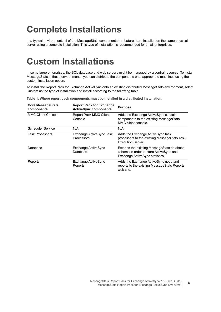## <span id="page-5-0"></span>**Complete Installations**

In a typical environment, all of the MessageStats components (or features) are installed on the same physical server using a complete installation. This type of installation is recommended for small enterprises.

### <span id="page-5-2"></span><span id="page-5-1"></span>**Custom Installations**

In some large enterprises, the SQL database and web servers might be managed by a central resource. To install MessageStats in these environments, you can distribute the components onto appropriate machines using the custom installation option.

To install the Report Pack for Exchange ActiveSync onto an existing distributed MessageStats environment, select Custom as the type of installation and install according to the following table.

| <b>Core MessageStats</b><br>components | <b>Report Pack for Exchange</b><br><b>ActiveSync components</b> | <b>Purpose</b>                                                                                                            |
|----------------------------------------|-----------------------------------------------------------------|---------------------------------------------------------------------------------------------------------------------------|
| <b>MMC Client Console</b>              | <b>Report Pack MMC Client</b><br>Console                        | Adds the Exchange ActiveSync console<br>components to the existing MessageStats<br>MMC client console.                    |
| Scheduler Service                      | N/A                                                             | N/A                                                                                                                       |
| <b>Task Processors</b>                 | Exchange ActiveSync Task<br>Processors                          | Adds the Exchange ActiveSync task<br>processors to the existing Message Stats Task<br><b>Execution Server</b>             |
| Database                               | Exchange ActiveSync<br>Database                                 | Extends the existing Message Stats database<br>schema in order to store ActiveSync and<br>Exchange ActiveSync statistics. |
| Reports                                | Exchange ActiveSync<br>Reports                                  | Adds the Exchange ActiveSync node and<br>reports to the existing Message Stats Reports<br>web site.                       |

**Table 1. Where report pack components must be installed in a distributed installation.**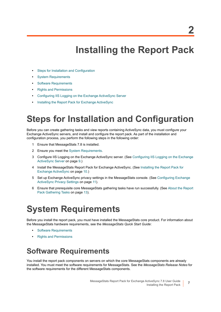# **Installing the Report Pack**

- <span id="page-6-0"></span>**•** [Steps for Installation and Configuration](#page-6-1)
- **•** [System Requirements](#page-6-2)
- **•** [Software Requirements](#page-6-3)
- **•** [Rights and Permissions](#page-7-0)
- **•** [Configuring IIS Logging on the Exchange ActiveSync Server](#page-8-0)
- **•** [Installing the Report Pack for Exchange ActiveSync](#page-9-0)

### <span id="page-6-1"></span>**Steps for Installation and Configuration**

Before you can create gathering tasks and view reports containing ActiveSync data, you must configure your Exchange ActiveSync servers, and install and configure the report pack. As part of the installation and configuration process, you perform the following steps in the following order:

- 1 Ensure that MessageStats 7.8 is installed.
- 2 Ensure you meet the [System Requirements.](#page-6-2)
- 3 Configure IIS Logging on the Exchange ActiveSync server. (See [Configuring IIS Logging on the Exchange](#page-8-0)  [ActiveSync Server on page 9.](#page-8-0))
- 4 Install the MessageStats Report Pack for Exchange ActiveSync. (See [Installing the Report Pack for](#page-9-0)  [Exchange ActiveSync on page 10.](#page-9-0))
- 5 Set up Exchange ActiveSync privacy settings in the MessageStats console. (See [Configuring Exchange](#page-10-3)  [ActiveSync Privacy Settings on page 11\)](#page-10-3).
- 6 Ensure that prerequisite core MessageStats gathering tasks have run successfully. (See [About the Report](#page-12-2)  [Pack Gathering Tasks on page 13\)](#page-12-2).

## <span id="page-6-2"></span>**System Requirements**

Before you install the report pack, you must have installed the MessageStats core product. For information about the MessageStats hardware requirements, see the *MessageStats Quick Start Guide*:

- **•** [Software Requirements](#page-6-3)
- **•** [Rights and Permissions](#page-7-0)

### <span id="page-6-3"></span>**Software Requirements**

You install the report pack components on servers on which the core MessageStats components are already installed. You must meet the software requirements for MessageStats. See the *MessageStats Release Notes* for the software requirements for the different MessageStats components.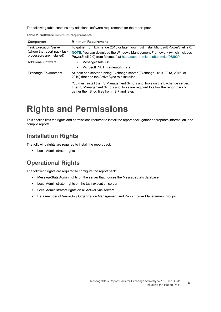<span id="page-7-3"></span>The following table contains any additional software requirements for the report pack.

**Table 2. Software minimum requirements.**

| Component                                                                                 | <b>Minimum Requirement</b>                                                                                                                                                                                       |
|-------------------------------------------------------------------------------------------|------------------------------------------------------------------------------------------------------------------------------------------------------------------------------------------------------------------|
| <b>Task Execution Server</b><br>(where the report pack task)<br>processors are installed) | To gather from Exchange 2010 or later, you must install Microsoft PowerShell 2.0.                                                                                                                                |
|                                                                                           | NOTE: You can download the Windows Management Framework (which includes<br>PowerShell 2.0) from Microsoft at http://support.microsoft.com/kb/968929.                                                             |
| <b>Additional Software</b>                                                                | MessageStats 7.8                                                                                                                                                                                                 |
|                                                                                           | Microsoft .NET Framework 4.7.2                                                                                                                                                                                   |
| <b>Exchange Environment</b>                                                               | At least one server running Exchange server (Exchange 2010, 2013, 2016, or<br>2019) that has the ActiveSync role installed.                                                                                      |
|                                                                                           | You must install the IIS Management Scripts and Tools on the Exchange server.<br>The IIS Management Scripts and Tools are required to allow the report pack to<br>gather the IIS log files from IIS 7 and later. |

### <span id="page-7-0"></span>**Rights and Permissions**

This section lists the rights and permissions required to install the report pack, gather appropriate information, and compile reports.

### **Installation Rights**

The following rights are required to install the report pack:

<span id="page-7-1"></span>**•** Local Administrator rights

### **Operational Rights**

The following rights are required to configure the report pack:

- **•** MessageStats Admin rights on the server that houses the MessageStats database
- <span id="page-7-2"></span>**•** Local Administrator rights on the task execution server
- **•** Local Administrators rights on all ActiveSync servers
- **•** Be a member of View-Only Organization Management and Public Folder Management groups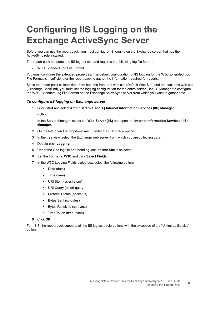# <span id="page-8-0"></span>**Configuring IIS Logging on the Exchange ActiveSync Server**

Before you can use the report pack, you must configure IIS logging on the Exchange server that has the ActiveSync role installed.

The report pack supports one IIS log per site and requires the following log file format:

**•** W3C Extended Log File Format

You must configure the extended properties. The default configuration of IIS logging for the W3C Extended Log File Format is insufficient for the report pack to gather the information required for reports.

Since the report pack collects data from both the front-end web site (Default Web Site) and the back-end web site (Exchange BackEnd), you must set the logging configuration for the entire server. Use IIS Manager to configure the W3C Extended Log File Format on the Exchange ActiveSync server from which you want to gather data.

#### *To configure IIS logging on Exchange server*

- 1 Click **Start** and select **Administrative Tools | Internet Information Services (IIS) Manager**.
	- OR -

In the Server Manager, select the **Web Server (IIS)** and open the **Internet Information Services (IIS) Manager**.

- 2 On the left, open the dropdown menu under the Start Page option.
- 3 In the tree view, select the Exchange web server from which you are collecting data.
- 4 Double-click **Logging**.
- 5 Under the One log file per: heading, ensure that **Site** is selected.
- 6 Set the Format to **W3C** and click **Select Fields**.
- 7 In the W3C Logging Fields dialog box, select the following options:
	- **▪** Date (date)
	- **▪** Time (time)
	- **▪** URI Stem (cs-uri-stem)
	- **▪** URI Query (cs-uri-query)
	- **▪** Protocol Status (sc-status)
	- **▪** Bytes Sent (sc-bytes)
	- **▪** Bytes Received (cs-bytes)
	- **▪** Time Taken (time-taken)

#### 8 Click **OK**.

For IIS 7, the report pack supports all the IIS log schedule options with the exception of the "Unlimited file size" option.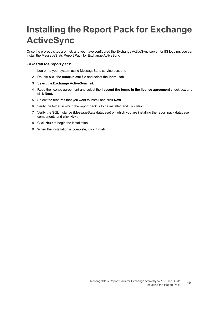# <span id="page-9-1"></span><span id="page-9-0"></span>**Installing the Report Pack for Exchange ActiveSync**

Once the prerequisites are met, and you have configured the Exchange ActiveSync server for IIS logging, you can install the MessageStats Report Pack for Exchange ActiveSync

#### *To install the report pack*

- 1 Log on to your system using MessageStats service account.
- 2 Double-click the **autorun.exe** file and select the **Install** tab.
- 3 Select the **Exchange ActiveSync** link.
- 4 Read the license agreement and select the **I accept the terms in the license agreement** check box and click **Next.**
- 5 Select the features that you want to install and click **Next**.
- 6 Verify the folder in which the report pack is to be installed and click **Next**.
- 7 Verify the SQL instance (MessageStats database) on which you are installing the report pack database components and click **Next**.
- 8 Click **Next** to begin the installation.
- 9 When the installation is complete, click **Finish**.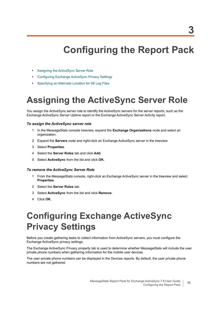# **Configuring the Report Pack**

- <span id="page-10-0"></span>**•** [Assigning the ActiveSync Server Role](#page-10-1)
- **•** [Configuring Exchange ActiveSync Privacy Settings](#page-10-2)
- **•** [Specifying an Alternate Location for IIS Log Files](#page-11-0)

## <span id="page-10-4"></span><span id="page-10-1"></span>**Assigning the ActiveSync Server Role**

<span id="page-10-5"></span>You assign the ActiveSync server role to identify the ActiveSync servers for the server reports, such as the Exchange ActiveSync Server Uptime report or the Exchange ActiveSync Server Activity report.

#### *To assign the ActiveSync server role*

- 1 In the MessageStats console treeview, expand the **Exchange Organizations** node and select an organization.
- 2 Expand the **Servers** node and right-click an Exchange ActiveSync server in the treeview
- 3 Select **Properties**.
- 4 Select the **Server Roles** tab and click **Add**.
- 5 Select **ActiveSync** from the list and click **OK**.

#### *To remove the ActiveSync Server Role*

- 1 From the MessageStats console, right-click an Exchange ActiveSync server in the treeview and select **Properties**.
- 2 Select the **Server Roles** tab.
- 3 Select **ActiveSync** from the list and click **Remove**.
- 4 Click **OK**.

## <span id="page-10-3"></span><span id="page-10-2"></span>**Configuring Exchange ActiveSync Privacy Settings**

Before you create gathering tasks to collect information from ActiveSync servers, you must configure the Exchange ActiveSync privacy settings.

The Exchange ActiveSync Privacy property tab is used to determine whether MessageStats will include the user private phone numbers when gathering information for the mobile user devices.

The user private phone numbers can be displayed in the Devices reports. By default, the user private phone numbers are not gathered.

<span id="page-10-6"></span>MessageStats Report Pack for Exchange ActiveSync 7.8 User Guide Configuring the Report Pack

**11**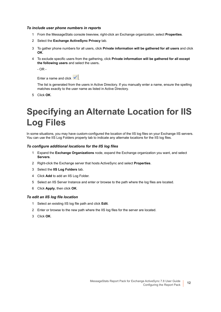#### *To include user phone numbers in reports*

- 1 From the MessageStats console treeview, right-click an Exchange organization, select **Properties**.
- 2 Select the **Exchange ActiveSync Privacy** tab.
- 3 To gather phone numbers for all users, click **Private information will be gathered for all users** and click **OK**.
- 4 To exclude specific users from the gathering, click **Private information will be gathered for all except the following users** and select the users**.**

 $-$  OR  $-$ 

Enter a name and click  $\left| \rule{0.3cm}{0.4cm} \right|$ 

The list is generated from the users in Active Directory. If you manually enter a name, ensure the spelling matches exactly to the user name as listed in Active Directory.

5 Click **OK**.

## <span id="page-11-0"></span>**Specifying an Alternate Location for IIS Log Files**

In some situations, you may have custom-configured the location of the IIS log files on your Exchange IIS servers. You can use the IIS Log Folders property tab to indicate any alternate locations for the IIS log files.

#### *To configure additional locations for the IIS log files*

- 1 Expand the **Exchange Organizations** node, expand the Exchange organization you want, and select **Servers**.
- 2 Right-click the Exchange server that hosts ActiveSync and select **Properties**.
- 3 Select the **IIS Log Folders** tab.
- 4 Click **Add** to add an IIS Log Folder.
- 5 Select an IIS Server Instance and enter or browse to the path where the log files are located.
- 6 Click **Apply**, then click **OK**.

#### *To edit an IIS log file location*

- 1 Select an existing IIS log file path and click **Edit**.
- 2 Enter or browse to the new path where the IIS log files for the server are located.
- 3 Click **OK**.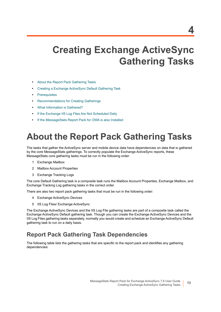# <span id="page-12-0"></span>**Creating Exchange ActiveSync Gathering Tasks**

- **•** [About the Report Pack Gathering Tasks](#page-12-1)
- **•** [Creating a Exchange ActiveSync Default Gathering Task](#page-13-0)
- **•** [Prerequisites](#page-13-1)
- **•** [Recommendations for Creating Gatherings](#page-14-0)
- **•** [What Information is Gathered?](#page-15-0)
- **•** [If the Exchange IIS Log Files Are Not Scheduled Daily](#page-15-1)
- **•** [If the MessageStats Report Pack for OWA is also Installed](#page-15-2)

## <span id="page-12-2"></span><span id="page-12-1"></span>**About the Report Pack Gathering Tasks**

The tasks that gather the ActiveSync server and mobile device data have dependencies on data that is gathered by the core MessageStats gatherings. To correctly populate the Exchange ActiveSync reports, these MessageStats core gathering tasks must be run in the following order:

- 1 Exchange Mailbox
- 2 Mailbox Account Properties
- 3 Exchange Tracking Logs

The core Default Gathering task is a composite task runs the Mailbox Account Properties, Exchange Mailbox, and Exchange Tracking Log gathering tasks in the correct order.

There are also two report pack gathering tasks that must be run in the following order:

- 4 Exchange ActiveSync Devices
- 5 IIS Log Files/ Exchange ActiveSync

The Exchange ActiveSync Devices and the IIS Log File gathering tasks are part of a composite task called the Exchange ActiveSync Default gathering task. Though you can create the Exchange ActiveSync Devices and the IIS Log Files gathering tasks separately, normally you would create and schedule an Exchange ActiveSync Default gathering task to run on a daily basis.

### **Report Pack Gathering Task Dependencies**

The following table lists the gathering tasks that are specific to the report pack and identifies any gathering dependencies: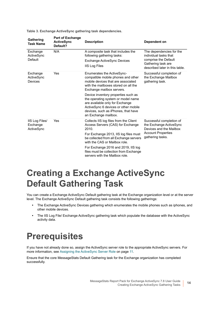<span id="page-13-3"></span>

| Gathering<br><b>Task Name</b>            | <b>Part of Exchange</b><br><b>ActiveSync</b><br>Default? | <b>Description</b>                                                                                                                                                                                                                                                                                                                                                                                        | Dependent on                                                                                                                      |
|------------------------------------------|----------------------------------------------------------|-----------------------------------------------------------------------------------------------------------------------------------------------------------------------------------------------------------------------------------------------------------------------------------------------------------------------------------------------------------------------------------------------------------|-----------------------------------------------------------------------------------------------------------------------------------|
| Exchange<br>ActiveSync<br>Default        | N/A                                                      | A composite task that includes the<br>following gathering tasks:<br>Exchange ActiveSync Devices<br><b>IIS Log Files</b>                                                                                                                                                                                                                                                                                   | The dependencies for the<br>individual tasks that<br>comprise the Default<br>Gathering task are<br>described later in this table. |
| Exchange<br>ActiveSync<br>Devices        | Yes                                                      | <b>Enumerates the ActiveSync-</b><br>compatible mobile phones and other<br>mobile devices that are associated<br>with the mailboxes stored on all the<br>Exchange mailbox servers.<br>Device inventory properties such as<br>the operating system or model name<br>are available only for Exchange<br>ActiveSync 6 devices or other mobile<br>devices, such as iPhones, that have<br>an Exchange mailbox. | Successful completion of<br>the Exchange Mailbox<br>gathering task.                                                               |
| IIS Log Files/<br>Exchange<br>ActiveSync | Yes                                                      | Collects IIS log files from the Client<br>Access Servers (CAS) for Exchange<br>2010.<br>For Exchange 2013, IIS log files must<br>be collected from all Exchange servers<br>with the CAS or Mailbox role.<br>For Exchange 2016 and 2019, IIS log<br>files must be collection from Exchange<br>servers with the Mailbox role.                                                                               | Successful completion of<br>the Exchange ActiveSync<br>Devices and the Mailbox<br><b>Account Properties</b><br>gathering tasks.   |

**Table 3. Exchange ActiveSync gathering task dependencies.**

## <span id="page-13-0"></span>**Creating a Exchange ActiveSync Default Gathering Task**

You can create a Exchange ActiveSync Default gathering task at the Exchange organization level or at the server level. The Exchange ActiveSync Default gathering task consists the following gatherings:

- <span id="page-13-2"></span>**•** The Exchange ActiveSync Devices gathering which enumerates the mobile phones such as iphones, and other mobile devices.
- **•** The IIS Log File/ Exchange ActiveSync gathering task which populate the database with the ActiveSync activity data.

### <span id="page-13-1"></span>**Prerequisites**

If you have not already done so, assign the ActiveSync server role to the appropriate ActiveSync servers. For more information, see [Assigning the ActiveSync Server Role on page 11](#page-10-4).

Ensure that the core MessageStats Default Gathering task for the Exchange organization has completed successfully.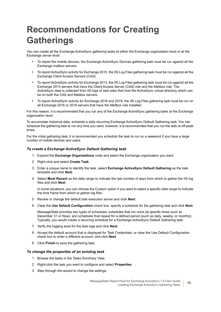# <span id="page-14-0"></span>**Recommendations for Creating Gatherings**

You can create all the Exchange ActiveSync gathering tasks at either the Exchange organization level or at the Exchange server level.

- **•** To report the mobile devices, the Exchange ActiveSync Devices gathering task must be run against all the Exchange mailbox servers.
- <span id="page-14-2"></span>**•** To report ActiveSync activity for Exchange 2010, the IIS Log Files gathering task must be run against all the Exchange Client Access Servers (CAS).
- **•** To report ActiveSync activity for Exchange 2013, the IIS Log Files gathering task must be run against all the Exchange 2013 servers that have the Client Access Server (CAS) role and the Mailbox role. The ActiveSync data is collected from IIS logs of web sites that host the ActiveSync virtual directory which can be on both the CAS and Mailbox servers.
- **•** To report ActiveSync activity for Exchange 2016 and 2019, the IIS Log Files gathering task must be run on all Exchange 2016 or 2019 servers that have the Mailbox role installed.

For this reason, it is recommended that you run any of the Exchange ActiveSync gathering tasks at the Exchange organization level.

To accumulate historical data, schedule a daily recurring Exchange ActiveSync Default Gathering task. You can schedule the gathering task to run any time you want; however, it is recommended that you run the task at off-peak times.

For the initial gathering task, it is recommended you schedule the task to run on a weekend if you have a large number of mobile devices and users.

#### *To create a Exchange ActiveSync Default Gathering task*

- 1 Expand the **Exchange Organizations** node and select the Exchange organization you want.
- 2 Right-click and select **Create Task**.
- 3 Enter a unique name to identify the task, select **Exchange ActiveSync Default Gathering** as the task template and click **Next**.
- 4 Select **Most Recent** as the date range to indicate the last number of days from which to gather the IIS log files and click **Next**.

In some situations, you can choose the Custom option if you want to select a specific date range to indicate the time frame from which to gather log files.

- 5 Review or change the default task execution server and click **Next**.
- 6 Clear the **Use Default Configuration** check box, specify a schedule for the gathering task and click **Next**.

MessageStats provides two types of schedules: schedules that run once (at specific times such as December 31 or Now), and schedules that repeat for a defined period (such as daily, weekly, or monthly). Typically, you would create a recurring schedule for a Exchange ActiveSync Default Gathering task.

- 7 Verify the logging level for the task logs and click **Next**.
- 8 Accept the default account that is displayed for Task Credentials, or clear the Use Default Configuration check box to enter a different account, and click **Next**.
- <span id="page-14-1"></span>9 Click **Finish** to save the gathering task.

#### *To change the properties of an existing task*

- 1 Browse the tasks in the Tasks Summary View.
- 2 Right-click the task you want to configure and select **Properties**.
- 3 Step through the wizard to change the settings.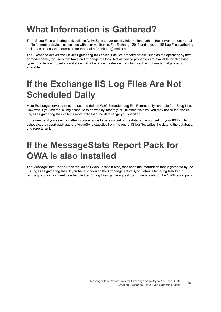## <span id="page-15-0"></span>**What Information is Gathered?**

The IIS Log Files gathering task collects ActiveSync server activity information such as the server and user email traffic for mobile devices associated with user mailboxes. For Exchange 2013 and later, the IIS Log Files gathering task does not collect information for the health (monitoring) mailboxes.

The Exchange ActiveSync Devices gathering task collects device property details, such as the operating system or model name, for users that have an Exchange mailbox. Not all device properties are available for all device types. If a device property is not shown, it is because the device manufacturer has not made that property available.

## <span id="page-15-1"></span>**If the Exchange IIS Log Files Are Not Scheduled Daily**

Most Exchange servers are set to use the default W3C Extended Log File Format daily schedule for IIS log files. However, if you set the IIS log schedule to be weekly, monthly, or unlimited file size, you may notice that the IIS Log Files gathering task collects more data than the date range you specified.

For example, if you select a gathering date range to be a subset of the date range you set for your IIS log file schedule, the report pack gathers ActiveSync statistics from the entire IIS log file, writes the data to the database, and reports on it.

## <span id="page-15-2"></span>**If the MessageStats Report Pack for OWA is also Installed**

The MessageStats Report Pack for Outlook Web Access (OWA) also uses the information that is gathered by the IIS Log Files gathering task. If you have scheduled the Exchange ActiveSync Default Gathering task to run regularly, you do not need to schedule the IIS Log Files gathering task to run separately for the OWA report pack.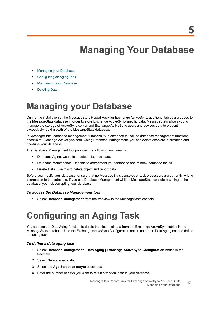# **Managing Your Database**

- <span id="page-16-0"></span>**•** [Managing your Database](#page-16-1)
- **•** [Configuring an Aging Task](#page-16-2)
- **•** [Maintaining your Database](#page-17-1)
- **•** [Deleting Data](#page-18-1)

### <span id="page-16-1"></span>**Managing your Database**

During the installation of the MessageStats Report Pack for Exchange ActiveSync, additional tables are added to the MessageStats database in order to store Exchange ActiveSync-specific data. MessageStats allows you to manage the storage of ActiveSync server and Exchange ActiveSync users and devices data to prevent excessively rapid growth of the MessageStats database.

<span id="page-16-6"></span>In MessageStats, database management functionality is extended to include database management functions specific to Exchange ActiveSync data. Using Database Management, you can delete obsolete information and fine-tune your database.

The Database Management tool provides the following functionality:

- <span id="page-16-5"></span>**•** Database Aging. Use this to delete historical data.
- **•** Database Maintenance. Use this to defragment your database and reindex database tables.
- **•** Delete Data. Use this to delete object and report data.

Before you modify your database, ensure that no MessageStats consoles or task processors are currently writing information to the database. If you use Database Management while a MessageStats console is writing to the database, you risk corrupting your database.

#### *To access the Database Management tool*

<span id="page-16-3"></span>**•** Select **Database Management** from the treeview in the MessageStats console.

# <span id="page-16-2"></span>**Configuring an Aging Task**

<span id="page-16-4"></span>You can use the Data Aging function to delete the historical data from the Exchange ActiveSync tables in the MessageStats database. Use the Exchange ActiveSync Configuration option under the Data Aging node to define the aging task.

#### *To define a data aging task*

- 1 Select **Database Management | Data Aging | Exchange ActiveSync Configuration** nodes in the treeview.
- 2 Select **Delete aged data**.
- 3 Select the **Age Statistics (days)** check box.
- 4 Enter the number of days you want to retain statistical data in your database.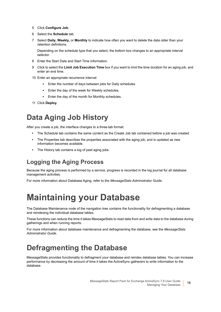- 5 Click **Configure Job**.
- 6 Select the **Schedule** tab.
- 7 Select **Daily, Weekly,** or **Monthly** to indicate how often you want to delete the data older than your retention definitions.

Depending on the schedule type that you select, the bottom box changes to an appropriate interval selector.

- 8 Enter the Start Date and Start Time information.
- 9 Click to select the **Limit Job Execution Time** box if you want to limit the time duration for an aging job, and enter an end time.
- 10 Enter an appropriate recurrence interval:
	- **▪** Enter the number of days between jobs for Daily schedules
	- **▪** Enter the day of the week for Weekly schedules.
	- **▪** Enter the day of the month for Monthly schedules.
- <span id="page-17-4"></span>11 Click **Deploy**.

### <span id="page-17-0"></span>**Data Aging Job History**

After you create a job, the interface changes to a three-tab format:

- **•** The Schedule tab contains the same content as the Create Job tab contained before a job was created.
- **•** The Properties tab describes the properties associated with the aging job, and is updated as new information becomes available.
- <span id="page-17-3"></span>**•** The History tab contains a log of past aging jobs.

### **Logging the Aging Process**

Because the aging process is performed by a service, progress is recorded in the log journal for all database management activities.

For more information about Database Aging, refer to the *MessageStats Administrator Guide*.

## <span id="page-17-1"></span>**Maintaining your Database**

<span id="page-17-6"></span>The Database Maintenance node of the navigation tree contains the functionality for defragmenting a database and reindexing the individual database tables.

<span id="page-17-5"></span>These functions can reduce the time it takes MessageStats to read data from and write data to the database during gatherings and when running reports.

For more information about database maintenance and defragmenting the database, see the *MessageStats Administrator Guide*.

### <span id="page-17-2"></span>**Defragmenting the Database**

MessageStats provides functionality to defragment your database and reindex database tables. You can increase performance by decreasing the amount of time it takes the ActiveSync gatherers to write information to the database.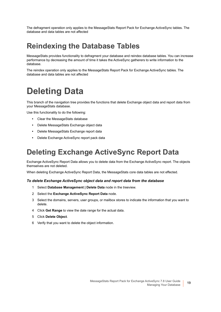The defragment operation only applies to the MessageStats Report Pack for Exchange ActiveSync tables. The database and data tables are not affected

### <span id="page-18-0"></span>**Reindexing the Database Tables**

MessageStats provides functionality to defragment your database and reindex database tables. You can increase performance by decreasing the amount of time it takes the ActiveSync gatherers to write information to the database.

The reindex operation only applies to the MessageStats Report Pack for Exchange ActiveSync tables. The database and data tables are not affected

## <span id="page-18-3"></span><span id="page-18-1"></span>**Deleting Data**

This branch of the navigation tree provides the functions that delete Exchange object data and report data from your MessageStats database.

Use this functionality to do the following:

- **•** Clear the MessageStats database
- **•** Delete MessageStats Exchange object data
- **•** Delete MessageStats Exchange report data
- <span id="page-18-4"></span>**•** Delete Exchange ActiveSync report pack data

### <span id="page-18-2"></span>**Deleting Exchange ActiveSync Report Data**

Exchange ActiveSync Report Data allows you to delete data from the Exchange ActiveSync report. The objects themselves are not deleted.

When deleting Exchange ActiveSync Report Data, the MessageStats core data tables are not effected.

#### *To delete Exchange ActiveSync object data and report data from the database*

- 1 Select **Database Management | Delete Data** node in the treeview.
- 2 Select the **Exchange ActiveSync Report Data** node.
- 3 Select the domains, servers, user groups, or mailbox stores to indicate the information that you want to delete.
- 4 Click **Get Range** to view the date range for the actual data.
- 5 Click **Delete Object**.
- 6 Verify that you want to delete the object information.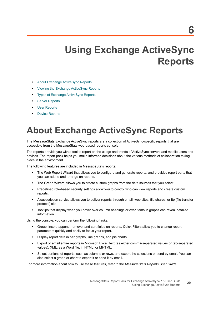# **Using Exchange ActiveSync Reports**

- <span id="page-19-0"></span>**•** [About Exchange ActiveSync Reports](#page-19-1)
- **•** [Viewing the Exchange ActiveSync Reports](#page-20-0)
- **•** [Types of Exchange ActiveSync Reports](#page-20-1)
- **•** [Server Reports](#page-20-2)
- **•** [User Reports](#page-21-0)
- **•** [Device Reports](#page-23-0)

# <span id="page-19-1"></span>**About Exchange ActiveSync Reports**

The MessageStats Exchange ActiveSync reports are a collection of ActiveSync-specific reports that are accessible from the MessageStats web-based reports console.

The reports provide you with a tool to report on the usage and trends of ActiveSync servers and mobile users and devices. The report pack helps you make informed decisions about the various methods of collaboration taking place in the environment.

The following features are included in MessageStats reports:

- **•** The Web Report Wizard that allows you to configure and generate reports, and provides report parts that you can add to and arrange on reports.
- **•** The Graph Wizard allows you to create custom graphs from the data sources that you select.
- **•** Predefined role-based security settings allow you to control who can view reports and create custom reports.
- **•** A subscription service allows you to deliver reports through email, web sites, file shares, or ftp (file transfer protocol) site.
- **•** Tooltips that display when you hover over column headings or over items in graphs can reveal detailed information.

Using the console, you can perform the following tasks:

- **•** Group, insert, append, remove, and sort fields on reports. Quick Filters allow you to change report parameters quickly and easily to focus your report.
- **•** Display report data in bar graphs, line graphs, and pie charts.
- **•** Export or email entire reports in Microsoft Excel, text (as either comma-separated values or tab-separated values), XML, as a Word file, in HTML, or MHTML.
- **•** Select portions of reports, such as columns or rows, and export the selections or send by email. You can also select a graph or chart to export it or send it by email.

For more information about how to use these features, refer to the *MessageStats Reports User Guide*.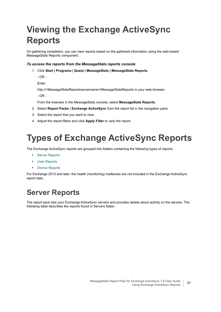# <span id="page-20-3"></span><span id="page-20-0"></span>**Viewing the Exchange ActiveSync Reports**

<span id="page-20-6"></span>On gathering completion, you can view reports based on the gathered information using the web-based MessageStats Reports component.

#### *To access the reports from the MessageStats reports console*

1 Click **Start | Programs | Quest | MessageStats | MessageStats Reports.**

 $-$  OR  $-$ 

Enter

http://<MessageStatsReportsservername>/MessageStatsReports in your web browser.

- OR -

<span id="page-20-5"></span>From the treeview in the MessageStats console, select **MessageStats Reports**.

- 2 Select **Report Packs** | **Exchange ActiveSync** from the report list in the navigation pane.
- 3 Select the report that you want to view.
- 4 Adjust the report filters and click **Apply Filter** to view the report.

## <span id="page-20-1"></span>**Types of Exchange ActiveSync Reports**

The Exchange ActiveSync reports are grouped into folders containing the following types of reports:

- <span id="page-20-7"></span>**•** [Server Reports](#page-20-2)
- **•** [User Reports](#page-21-0)
- **•** [Device Reports](#page-23-0)

For Exchange 2013 and later, the health (monitoring) mailboxes are not included in the Exchange ActiveSync report data.

### <span id="page-20-2"></span>**Server Reports**

<span id="page-20-4"></span>The report pack lists your Exchange ActiveSync servers and provides details about activity on the servers. The following table describes the reports found in Servers folder: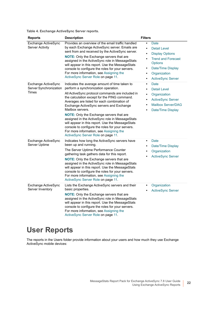**Table 4. Exchange ActiveSync Server reports.**

<span id="page-21-3"></span><span id="page-21-1"></span>

| <b>Reports</b>                                         | <b>Description</b>                                                                                                                                                                                                                                                                                                                                                                                                                                                                                                                                                                               | <b>Filters</b>                                                                                                                                                                                                                              |
|--------------------------------------------------------|--------------------------------------------------------------------------------------------------------------------------------------------------------------------------------------------------------------------------------------------------------------------------------------------------------------------------------------------------------------------------------------------------------------------------------------------------------------------------------------------------------------------------------------------------------------------------------------------------|---------------------------------------------------------------------------------------------------------------------------------------------------------------------------------------------------------------------------------------------|
| Exchange ActiveSync<br><b>Server Activity</b>          | Provides an overview of the email traffic handled<br>by each Exchange ActiveSync server. Emails are<br>sent from and received by the ActiveSync server.<br><b>NOTE:</b> Only the Exchange servers that are<br>assigned in the ActiveSync role in MessageStats<br>will appear in this report. Use the MessageStats<br>console to configure the roles for your servers.<br>For more information, see Assigning the<br>ActiveSync Server Role on page 11.                                                                                                                                           | Date<br>$\bullet$<br><b>Detail Level</b><br>$\bullet$<br><b>Display Options</b><br>$\bullet$<br><b>Trend and Forecast</b><br>$\bullet$<br><b>Options</b><br>Date/Time Display<br>٠<br>Organization<br><b>ActiveSync Server</b><br>$\bullet$ |
| Exchange ActiveSync<br>Server Synchronization<br>Times | Indicates the average amount of time taken to<br>perform a synchronization operation.<br>All ActiveSync protocol commands are included in<br>the calculation except for the PING command.<br>Averages are listed for each combination of<br>Exchange ActiveSync servers and Exchange<br>Mailbox servers.<br>NOTE: Only the Exchange servers that are<br>assigned in the ActiveSync role in MessageStats<br>will appear in this report. Use the MessageStats<br>console to configure the roles for your servers.<br>For more information, see Assigning the<br>ActiveSync Server Role on page 11. | <b>Date</b><br>$\bullet$<br><b>Detail Level</b><br>$\bullet$<br>Organization<br>$\bullet$<br><b>ActiveSync Server</b><br>$\bullet$<br><b>Mailbox Server/DAG</b><br>$\bullet$<br>Date/Time Display                                           |
| Exchange ActiveSync<br>Server Uptime                   | Indicates how long the ActiveSync servers have<br>been up and running.<br>The Server Uptime Performance Counter<br>gathering task gathers data for this report.<br><b>NOTE:</b> Only the Exchange servers that are<br>assigned in the ActiveSync role in MessageStats<br>will appear in this report. Use the MessageStats<br>console to configure the roles for your servers.<br>For more information, see Assigning the<br>ActiveSync Server Role on page 11.                                                                                                                                   | Date<br>$\bullet$<br>Date/Time Display<br>$\bullet$<br>Organization<br><b>ActiveSync Server</b>                                                                                                                                             |
| Exchange ActiveSync<br>Server Inventory                | Lists the Exchange ActiveSync servers and their<br>basic properties.<br>NOTE: Only the Exchange servers that are<br>assigned in the ActiveSync role in MessageStats<br>will appear in this report. Use the MessageStats<br>console to configure the roles for your servers.<br>For more information, see Assigning the<br>ActiveSync Server Role on page 11.                                                                                                                                                                                                                                     | Organization<br><b>ActiveSync Server</b>                                                                                                                                                                                                    |

### <span id="page-21-4"></span><span id="page-21-2"></span><span id="page-21-0"></span>**User Reports**

The reports in the Users folder provide information about your users and how much they use Exchange ActiveSync mobile devices: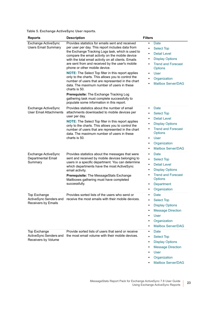**Table 5. Exchange ActiveSync User reports.**

<span id="page-22-4"></span><span id="page-22-3"></span><span id="page-22-2"></span><span id="page-22-1"></span><span id="page-22-0"></span>

| <b>Reports</b>                                                       | <b>Description</b>                                                                                                                                                                                                                                                                                                                                                                                                                                                                                                                                                                                                                                                                                                                      | <b>Filters</b>                                                                                                                                                                                                                                                                                |
|----------------------------------------------------------------------|-----------------------------------------------------------------------------------------------------------------------------------------------------------------------------------------------------------------------------------------------------------------------------------------------------------------------------------------------------------------------------------------------------------------------------------------------------------------------------------------------------------------------------------------------------------------------------------------------------------------------------------------------------------------------------------------------------------------------------------------|-----------------------------------------------------------------------------------------------------------------------------------------------------------------------------------------------------------------------------------------------------------------------------------------------|
| Exchange ActiveSync<br><b>Users Email Summary</b>                    | Provides statistics for emails sent and received<br>per user per day. This report includes data from<br>the Exchange Tracking Logs task, which is used to<br>compare the email activity on the mobile device<br>with the total email activity on all clients. Emails<br>are sent from and received by the user's mobile<br>phone or other mobile device.<br><b>NOTE:</b> The Select Top filter in this report applies<br>only to the charts. This allows you to control the<br>number of users that are represented in the chart<br>data. The maximum number of users in these<br>charts is 50.<br>Prerequisite: The Exchange Tracking Log<br>gathering task must complete successfully to<br>populate some information in this report. | Date<br>$\bullet$<br><b>Select Top</b><br>$\bullet$<br><b>Detail Level</b><br>$\bullet$<br><b>Display Options</b><br>$\bullet$<br><b>Trend and Forecast</b><br>$\bullet$<br><b>Options</b><br><b>User</b><br>$\bullet$<br>Organization<br>$\bullet$<br><b>Mailbox Server/DAG</b><br>$\bullet$ |
| Exchange ActiveSync<br><b>User Email Attachments</b>                 | Provides statistics about the number of email<br>attachments downloaded to mobile devices per<br>user per day.<br><b>NOTE:</b> The Select Top filter in this report applies<br>only to the charts. This allows you to control the<br>number of users that are represented in the chart<br>data. The maximum number of users in these<br>charts is 50.                                                                                                                                                                                                                                                                                                                                                                                   | Date<br>$\bullet$<br><b>Select Top</b><br>$\bullet$<br><b>Detail Level</b><br>$\bullet$<br><b>Display Options</b><br>$\bullet$<br><b>Trend and Forecast</b><br>$\bullet$<br><b>Options</b><br><b>User</b><br>$\bullet$<br>Organization<br>$\bullet$<br><b>Mailbox Server/DAG</b><br>$\bullet$ |
| Exchange ActiveSync<br>Departmental Email<br>Summary                 | Provides statistics about the messages that were<br>sent and received by mobile devices belonging to<br>users in a specific department. You can determine<br>which departments have the most ActiveSync<br>email activity.<br>Prerequisite: The MessageStats Exchange<br>Mailboxes gathering must have completed<br>successfully.                                                                                                                                                                                                                                                                                                                                                                                                       | Date<br>$\bullet$<br><b>Select Top</b><br>$\bullet$<br><b>Detail Level</b><br>$\bullet$<br><b>Display Options</b><br>$\bullet$<br><b>Trend and Forecast</b><br>$\bullet$<br><b>Options</b><br>Department<br>$\bullet$<br>Organization<br>$\bullet$                                            |
| <b>Top Exchange</b><br>ActiveSync Senders and<br>Receivers by Emails | Provides sorted lists of the users who send or<br>receive the most emails with their mobile devices.                                                                                                                                                                                                                                                                                                                                                                                                                                                                                                                                                                                                                                    | Date<br>$\bullet$<br><b>Select Top</b><br><b>Display Options</b><br>$\bullet$<br><b>Message Direction</b><br>$\bullet$<br><b>User</b><br>$\bullet$<br>Organization<br>$\bullet$<br><b>Mailbox Server/DAG</b><br>$\bullet$                                                                     |
| Top Exchange<br>ActiveSync Senders and<br>Receivers by Volume        | Provide sorted lists of users that send or receive<br>the most email volume with their mobile devices.                                                                                                                                                                                                                                                                                                                                                                                                                                                                                                                                                                                                                                  | Date<br>$\bullet$<br><b>Select Top</b><br>$\bullet$<br><b>Display Options</b><br>$\bullet$<br><b>Message Direction</b><br><b>User</b><br>Organization<br>$\bullet$<br><b>Mailbox Server/DAG</b>                                                                                               |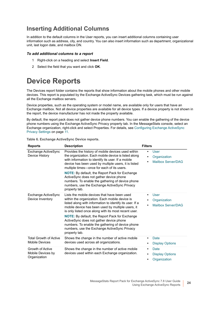### **Inserting Additional Columns**

In addition to the default columns in the User reports, you can insert additional columns containing user information such as address, city, and country. You can also insert information such as department, organizational unit, last logon date, and mailbox DN.

#### *To add additional columns to a report*

- 1 Right-click on a heading and select **Insert Field**.
- 2 Select the field that you want and click **OK**.

### <span id="page-23-0"></span>**Device Reports**

The Devices report folder contains the reports that show information about the mobile phones and other mobile devices. This report is populated by the Exchange ActiveSync Devices gathering task, which must be run against all the Exchange mailbox servers.

Device properties, such as the operating system or model name, are available only for users that have an Exchange mailbox. Not all device properties are available for all device types. If a device property is not shown in the report, the device manufacturer has not made the property available.

By default, the report pack does not gather device phone numbers. You can enable the gathering of the device phone numbers using the Exchange ActiveSync Privacy property tab. In the MessageStats console, select an Exchange organization, right-click and select Properties. For details, see [Configuring Exchange ActiveSync](#page-10-3)  [Privacy Settings on page 11](#page-10-3).

**Table 6. Exchange ActiveSync Device reports.**

<span id="page-23-4"></span><span id="page-23-3"></span><span id="page-23-2"></span><span id="page-23-1"></span>

| <b>Reports</b>                                         | <b>Description</b>                                                                                                                                                                                                                                                                                                                                                                                                                                                                                | <b>Filters</b>                                                        |
|--------------------------------------------------------|---------------------------------------------------------------------------------------------------------------------------------------------------------------------------------------------------------------------------------------------------------------------------------------------------------------------------------------------------------------------------------------------------------------------------------------------------------------------------------------------------|-----------------------------------------------------------------------|
| Exchange ActiveSync<br>Device History                  | Provides the history of mobile devices used within<br>the organization. Each mobile device is listed along<br>with information to identify its user. If a mobile<br>device has been used by multiple users, it is listed<br>multiple times—once for each of its users.<br><b>NOTE:</b> By default, the Report Pack for Exchange<br>ActiveSync does not gather device phone<br>numbers. To enable the gathering of device phone<br>numbers, use the Exchange ActiveSync Privacy<br>property tab.   | User<br>$\bullet$<br>Organization<br><b>Mailbox Server/DAG</b>        |
| Exchange ActiveSync<br>Device Inventory                | I ists the mobile devices that have been used<br>within the organization. Each mobile device is<br>listed along with information to identify its user. If a<br>mobile device has been used by multiple users, it<br>is only listed once along with its most recent user.<br><b>NOTE:</b> By default, the Report Pack for Exchange<br>ActiveSync does not gather device phone<br>numbers. To enable the gathering of device phone<br>numbers, use the Exchange ActiveSync Privacy<br>property tab. | User<br>٠<br>Organization<br><b>Mailbox Server/DAG</b><br>$\bullet$   |
| <b>Total Growth of Active</b><br><b>Mobile Devices</b> | Shows the change in the number of active mobile<br>devices used across all organizations.                                                                                                                                                                                                                                                                                                                                                                                                         | Date<br><b>Display Options</b><br>٠                                   |
| Growth of Active<br>Mobile Devices by<br>Organization  | Shows the change in the number of active mobile<br>devices used within each Exchange organization.                                                                                                                                                                                                                                                                                                                                                                                                | Date<br>٠<br><b>Display Options</b><br>$\bullet$<br>Organization<br>٠ |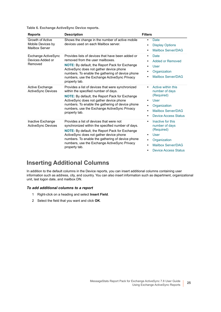**Table 6. Exchange ActiveSync Device reports.**

<span id="page-24-4"></span><span id="page-24-2"></span><span id="page-24-0"></span>

| <b>Reports</b>                                                        | <b>Description</b>                                                                                                                                                                                                                                                                                                     | <b>Filters</b>                                                                                                                                                                                  |
|-----------------------------------------------------------------------|------------------------------------------------------------------------------------------------------------------------------------------------------------------------------------------------------------------------------------------------------------------------------------------------------------------------|-------------------------------------------------------------------------------------------------------------------------------------------------------------------------------------------------|
| <b>Growth of Active</b><br>Mobile Devices by<br><b>Mailbox Server</b> | Shows the change in the number of active mobile<br>devices used on each Mailbox server.                                                                                                                                                                                                                                | Date<br>٠<br><b>Display Options</b><br>$\bullet$<br><b>Mailbox Server/DAG</b><br>٠                                                                                                              |
| Exchange ActiveSync<br>Devices Added or<br>Removed                    | Provides lists of devices that have been added or<br>removed from the user mailboxes.<br><b>NOTE:</b> By default, the Report Pack for Exchange<br>ActiveSync does not gather device phone<br>numbers. To enable the gathering of device phone<br>numbers, use the Exchange ActiveSync Privacy<br>property tab.         | Date<br>$\bullet$<br><b>Added or Removed</b><br>$\bullet$<br>User<br>$\bullet$<br>Organization<br>٠<br>Mailbox Server/DAG                                                                       |
| Active Exchange<br><b>ActiveSync Devices</b>                          | Provides a list of devices that were synchronized<br>within the specified number of days.<br><b>NOTE:</b> By default, the Report Pack for Exchange<br>ActiveSync does not gather device phone<br>numbers. To enable the gathering of device phone<br>numbers, use the Exchange ActiveSync Privacy<br>property tab.     | Active within this<br>$\bullet$<br>number of days<br>(Required)<br>User<br>$\bullet$<br>Organization<br>٠<br><b>Mailbox Server/DAG</b><br>$\bullet$<br><b>Device Access Status</b><br>$\bullet$ |
| Inactive Exchange<br><b>ActiveSync Devices</b>                        | Provides a list of devices that were not<br>synchronized within the specified number of days.<br><b>NOTE:</b> By default, the Report Pack for Exchange<br>ActiveSync does not gather device phone<br>numbers. To enable the gathering of device phone<br>numbers, use the Exchange ActiveSync Privacy<br>property tab. | Inactive for this<br>$\bullet$<br>number of days<br>(Required)<br>User<br>٠<br>Organization<br>$\bullet$<br>Mailbox Server/DAG<br>$\bullet$<br><b>Device Access Status</b><br>$\bullet$         |

### <span id="page-24-3"></span><span id="page-24-1"></span>**Inserting Additional Columns**

In addition to the default columns in the Device reports, you can insert additional columns containing user information such as address, city, and country. You can also insert information such as department, organizational unit, last logon date, and mailbox DN.

#### *To add additional columns to a report*

- 1 Right-click on a heading and select **Insert Field**.
- 2 Select the field that you want and click **OK**.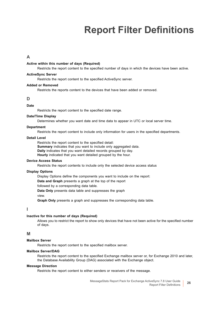# **Report Filter Definitions**

#### <span id="page-25-0"></span>**A**

#### <span id="page-25-10"></span>**Active within this number of days (Required)**

Restricts the report content to the specified number of days in which the devices have been active.

#### <span id="page-25-3"></span>**ActiveSync Server**

Restricts the report content to the specified ActiveSync server.

#### <span id="page-25-9"></span>**Added or Removed**

Restricts the reports content to the devices that have been added or removed.

#### **D**

#### <span id="page-25-1"></span>**Date**

Restricts the report content to the specified date range.

#### <span id="page-25-5"></span>**Date/Time Display**

Determines whether you want date and time data to appear in UTC or local server time.

#### <span id="page-25-8"></span>**Department**

Restricts the report content to include only information for users in the specified departments.

#### <span id="page-25-2"></span>**Detail Level**

Restricts the report content to the specified detail: **Summary** indicates that you want to include only aggregated data. **Daily** indicates that you want detailed records grouped by day. **Hourly** indicated that you want detailed grouped by the hour.

#### <span id="page-25-12"></span>**Device Access Status**

Restricts the report contents to include only the selected device access status

#### <span id="page-25-6"></span>**Display Options**

Display Options define the components you want to include on the report: **Data and Graph** presents a graph at the top of the report followed by a corresponding data table. **Data Only** presents data table and suppresses the graph

view.

**Graph Only** presents a graph and suppresses the corresponding data table.

#### **I**

#### <span id="page-25-11"></span>**Inactive for this number of days (Required)**

Allows you to restrict the report to show only devices that have not been active for the specified number of days.

#### **M**

#### **Mailbox Server**

Restricts the report content to the specified mailbox server.

#### <span id="page-25-4"></span>**Mailbox Server/DAG**

Restricts the report content to the specified Exchange mailbox server or, for Exchange 2010 and later, the Database Availability Group (DAG) associated with the Exchange object.

#### <span id="page-25-7"></span>**Message Direction**

Restricts the report content to either senders or receivers of the message.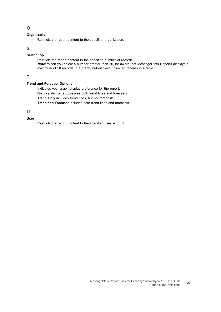#### **O**

#### <span id="page-26-0"></span>**Organization**

Restricts the report content to the specified organization.

#### **S**

#### <span id="page-26-2"></span>**Select Top**

Restricts the report content to the specified number of records. *Note:* When you select a number greater than 50, be aware that MessageStats Reports displays a maximum of 50 records in a graph, but displays unlimited records in a table.

#### **T**

#### <span id="page-26-1"></span>**Trend and Forecast Options**

Indicates your graph display preference for the report. **Display Neither** suppresses both trend lines and forecasts. **Trend Only** includes trend lines, but not forecasts. **Trend and Forecast** includes both trend lines and forecasts.

**U**

#### <span id="page-26-3"></span>**User**

Restricts the report content to the specified user account.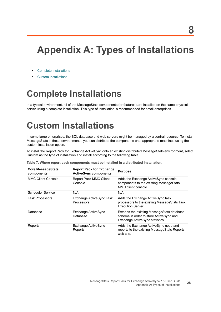# <span id="page-27-0"></span>**Appendix A: Types of Installations**

- **•** [Complete Installations](#page-27-1)
- **•** [Custom Installations](#page-27-2)

# <span id="page-27-1"></span>**Complete Installations**

In a typical environment, all of the MessageStats components (or features) are installed on the same physical server using a complete installation. This type of installation is recommended for small enterprises.

## <span id="page-27-3"></span><span id="page-27-2"></span>**Custom Installations**

In some large enterprises, the SQL database and web servers might be managed by a central resource. To install MessageStats in these environments, you can distribute the components onto appropriate machines using the custom installation option.

To install the Report Pack for Exchange ActiveSync onto an existing distributed MessageStats environment, select Custom as the type of installation and install according to the following table.

**Table 7. Where report pack components must be installed in a distributed installation.**

| <b>Core MessageStats</b><br>components | <b>Report Pack for Exchange</b><br><b>ActiveSync components</b> | <b>Purpose</b>                                                                                                           |
|----------------------------------------|-----------------------------------------------------------------|--------------------------------------------------------------------------------------------------------------------------|
| <b>MMC Client Console</b>              | <b>Report Pack MMC Client</b><br>Console                        | Adds the Exchange Active Sync console<br>components to the existing MessageStats<br>MMC client console.                  |
| Scheduler Service                      | N/A                                                             | N/A                                                                                                                      |
| <b>Task Processors</b>                 | Exchange ActiveSync Task<br><b>Processors</b>                   | Adds the Exchange ActiveSync task<br>processors to the existing Message Stats Task<br><b>Execution Server</b>            |
| Database                               | Exchange ActiveSync<br>Database                                 | Extends the existing MessageStats database<br>schema in order to store ActiveSync and<br>Exchange ActiveSync statistics. |
| Reports                                | Exchange ActiveSync<br>Reports                                  | Adds the Exchange ActiveSync node and<br>reports to the existing Message Stats Reports<br>web site.                      |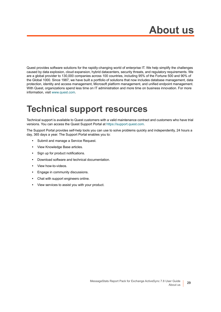Quest provides software solutions for the rapidly-changing world of enterprise IT. We help simplify the challenges caused by data explosion, cloud expansion, hybrid datacenters, security threats, and regulatory requirements. We are a global provider to 130,000 companies across 100 countries, including 95% of the Fortune 500 and 90% of the Global 1000. Since 1987, we have built a portfolio of solutions that now includes database management, data protection, identity and access management, Microsoft platform management, and unified endpoint management. With Quest, organizations spend less time on IT administration and more time on business innovation. For more information, visit [www.quest.com](https://www.quest.com/company/contact-us.aspx).

## <span id="page-28-0"></span>**Technical support resources**

Technical support is available to Quest customers with a valid maintenance contract and customers who have trial versions. You can access the Quest Support Portal at [https://support.quest.com.](https://support.quest.com)

The Support Portal provides self-help tools you can use to solve problems quickly and independently, 24 hours a day, 365 days a year. The Support Portal enables you to:

- **•** Submit and manage a Service Request.
- **•** View Knowledge Base articles.
- **•** Sign up for product notifications.
- **•** Download software and technical documentation.
- **•** View how-to-videos.
- **•** Engage in community discussions.
- **•** Chat with support engineers online.
- **•** View services to assist you with your product.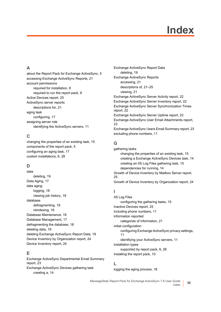# **Index**

### **A**

[about the Report Pack for Exchange ActiveSync, 5](#page-4-3) [accessing Exchange ActiveSync Reports, 21](#page-20-3) account permissions [required for installation, 8](#page-7-1) [required to run the report pack, 8](#page-7-2) [Active Devices report, 25](#page-24-0) ActiveSync server reports [descriptions for, 21](#page-20-4) aging task [configuring, 17](#page-16-3) assigning server role [identifying the ActiveSync servers, 11](#page-10-5)

### **C**

[changing the properties of an existing task, 15](#page-14-1) [components of the report pack, 5](#page-4-4) [configuring an aging task, 17](#page-16-3) [custom installations, 6,](#page-5-2) [28](#page-27-3)

### **D**

data [deleting, 19](#page-18-3) [Data Aging, 17](#page-16-4) data aging [logging, 18](#page-17-3) [viewing job history, 18](#page-17-4) database [defragmenting, 18](#page-17-5) [reindexing, 18](#page-17-5) [Database Maintenance, 18](#page-17-6) [Database Management, 17](#page-16-5) [defragmenting the database, 18](#page-17-5) [deleting data, 19](#page-18-3) [deleting Exchange ActiveSync Report Data, 19](#page-18-4) [Device Inventory by Organization report, 24](#page-23-1) [Device Inventory report, 24](#page-23-2)

### **E**

[Exchange ActiveSync Departmental Email Summary](#page-22-0)  report, 23 Exchange ActiveSync Devices gathering task [creating a, 14](#page-13-2)

Exchange ActiveSync Report Data [deleting, 19](#page-18-4) Exchange ActiveSync Reports [accessing, 21](#page-20-3) [descriptions of, 21–](#page-20-5)[25](#page-24-1) [viewing, 21](#page-20-6) [Exchange ActiveSync Server Activity report, 22](#page-21-1) [Exchange ActiveSync Server Inventory report, 22](#page-21-2) [Exchange ActiveSync Server Synchronization Times](#page-21-3)  report, 22 [Exchange ActiveSync Server Uptime report, 22](#page-21-4) [Exchange ActiveSync User Email Attachments report,](#page-22-1)  23 [Exchange ActiveSync Users Email Summary report, 23](#page-22-2) [excluding phone numbers, 11](#page-10-6)

### **G**

gathering tasks [changing the properties of an existing task, 15](#page-14-1) [creating a Exchange ActiveSync Devices task, 14](#page-13-2) [creating an IIS Log Files gathering task, 15](#page-14-2) [dependencies for running, 14](#page-13-3) [Growth of Device Inventory by Mailbox Server report,](#page-24-2)  25 [Growth of Device Inventory by Organization report, 24](#page-23-3)

### **I**

IIS Log Files [configuring the gathering tasks, 15](#page-14-2) [Inactive Devices report, 25](#page-24-3) [including phone numbers, 11](#page-10-6) information reported [categories of information, 21](#page-20-7) initial configuration [configuring Exchange ActiveSync privacy settings,](#page-10-6)  11 [identifying your ActiveSync servers, 11](#page-10-5) installation types [supported by report pack, 6,](#page-5-2) [28](#page-27-3) [installing the report pack, 10](#page-9-1)

### **L**

[logging the aging process, 18](#page-17-3)